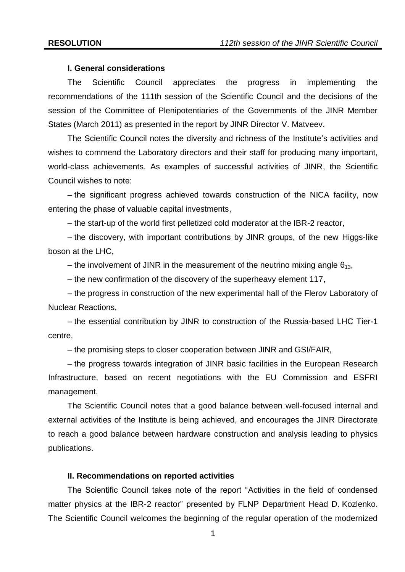#### **I. General considerations**

The Scientific Council appreciates the progress in implementing the recommendations of the 111th session of the Scientific Council and the decisions of the session of the Committee of Plenipotentiaries of the Governments of the JINR Member States (March 2011) as presented in the report by JINR Director V. Matveev.

The Scientific Council notes the diversity and richness of the Institute's activities and wishes to commend the Laboratory directors and their staff for producing many important, world-class achievements. As examples of successful activities of JINR, the Scientific Council wishes to note:

– the significant progress achieved towards construction of the NICA facility, now entering the phase of valuable capital investments,

– the start-up of the world first pelletized cold moderator at the IBR-2 reactor,

– the discovery, with important contributions by JINR groups, of the new Higgs-like boson at the LHC,

– the involvement of JINR in the measurement of the neutrino mixing angle  $\theta_{13}$ ,

– the new confirmation of the discovery of the superheavy element 117,

– the progress in construction of the new experimental hall of the Flerov Laboratory of Nuclear Reactions,

– the essential contribution by JINR to construction of the Russia-based LHC Tier-1 centre,

– the promising steps to closer cooperation between JINR and GSI/FAIR,

– the progress towards integration of JINR basic facilities in the European Research Infrastructure, based on recent negotiations with the EU Commission and ESFRI management.

The Scientific Council notes that a good balance between well-focused internal and external activities of the Institute is being achieved, and encourages the JINR Directorate to reach a good balance between hardware construction and analysis leading to physics publications.

#### **II. Recommendations on reported activities**

The Scientific Council takes note of the report "Activities in the field of condensed matter physics at the IBR-2 reactor" presented by FLNP Department Head D. Kozlenko. The Scientific Council welcomes the beginning of the regular operation of the modernized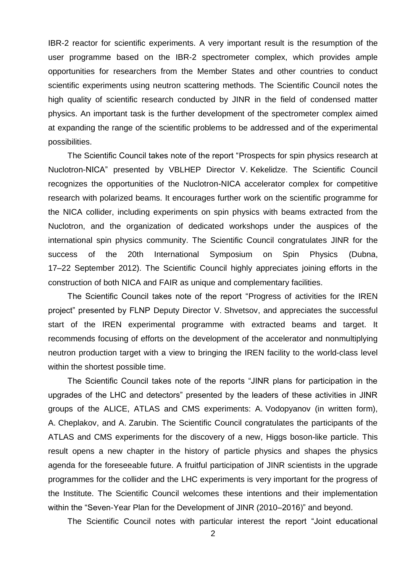IBR-2 reactor for scientific experiments. A very important result is the resumption of the user programme based on the IBR-2 spectrometer complex, which provides ample opportunities for researchers from the Member States and other countries to conduct scientific experiments using neutron scattering methods. The Scientific Council notes the high quality of scientific research conducted by JINR in the field of condensed matter physics. An important task is the further development of the spectrometer complex aimed at expanding the range of the scientific problems to be addressed and of the experimental possibilities.

The Scientific Council takes note of the report "Prospects for spin physics research at Nuclotron-NICA" presented by VBLHEP Director V. Kekelidze. The Scientific Council recognizes the opportunities of the Nuclotron-NICA accelerator complex for competitive research with polarized beams. It encourages further work on the scientific programme for the NICA collider, including experiments on spin physics with beams extracted from the Nuclotron, and the organization of dedicated workshops under the auspices of the international spin physics community. The Scientific Council congratulates JINR for the success of the 20th International Symposium on Spin Physics (Dubna, 17–22 September 2012). The Scientific Council highly appreciates joining efforts in the construction of both NICA and FAIR as unique and complementary facilities.

The Scientific Council takes note of the report "Progress of activities for the IREN project" presented by FLNP Deputy Director V. Shvetsov, and appreciates the successful start of the IREN experimental programme with extracted beams and target. It recommends focusing of efforts on the development of the accelerator and nonmultiplying neutron production target with a view to bringing the IREN facility to the world-class level within the shortest possible time.

The Scientific Council takes note of the reports "JINR plans for participation in the upgrades of the LHC and detectors" presented by the leaders of these activities in JINR groups of the ALICE, ATLAS and CMS experiments: A. Vodopyanov (in written form), A. Cheplakov, and A. Zarubin. The Scientific Council congratulates the participants of the ATLAS and CMS experiments for the discovery of a new, Higgs boson-like particle. This result opens a new chapter in the history of particle physics and shapes the physics agenda for the foreseeable future. A fruitful participation of JINR scientists in the upgrade programmes for the collider and the LHC experiments is very important for the progress of the Institute. The Scientific Council welcomes these intentions and their implementation within the "Seven-Year Plan for the Development of JINR (2010–2016)" and beyond.

The Scientific Council notes with particular interest the report "Joint educational

2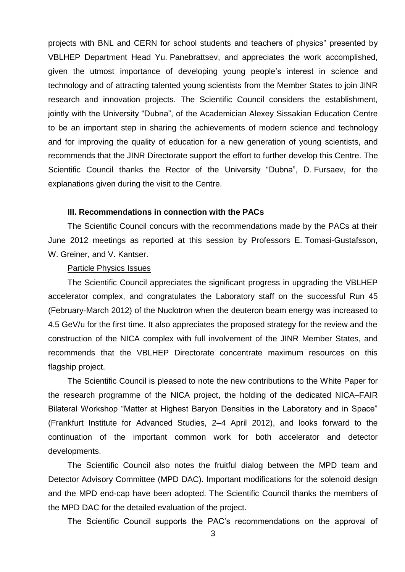projects with BNL and CERN for school students and teachers of physics" presented by VBLHEP Department Head Yu. Panebrattsev, and appreciates the work accomplished, given the utmost importance of developing young people's interest in science and technology and of attracting talented young scientists from the Member States to join JINR research and innovation projects. The Scientific Council considers the establishment, jointly with the University "Dubna", of the Academician Alexey Sissakian Education Centre to be an important step in sharing the achievements of modern science and technology and for improving the quality of education for a new generation of young scientists, and recommends that the JINR Directorate support the effort to further develop this Centre. The Scientific Council thanks the Rector of the University "Dubna", D. Fursaev, for the explanations given during the visit to the Centre.

#### **III. Recommendations in connection with the PACs**

The Scientific Council concurs with the recommendations made by the PACs at their June 2012 meetings as reported at this session by Professors E. Tomasi-Gustafsson, W. Greiner, and V. Kantser.

#### Particle Physics Issues

The Scientific Council appreciates the significant progress in upgrading the VBLHEP accelerator complex, and congratulates the Laboratory staff on the successful Run 45 (February-March 2012) of the Nuclotron when the deuteron beam energy was increased to 4.5 GeV/u for the first time. It also appreciates the proposed strategy for the review and the construction of the NICA complex with full involvement of the JINR Member States, and recommends that the VBLHEP Directorate concentrate maximum resources on this flagship project.

The Scientific Council is pleased to note the new contributions to the White Paper for the research programme of the NICA project, the holding of the dedicated NICA–FAIR Bilateral Workshop "Matter at Highest Baryon Densities in the Laboratory and in Space" (Frankfurt Institute for Advanced Studies, 2–4 April 2012), and looks forward to the continuation of the important common work for both accelerator and detector developments.

The Scientific Council also notes the fruitful dialog between the MPD team and Detector Advisory Committee (MPD DAC). Important modifications for the solenoid design and the MPD end-cap have been adopted. The Scientific Council thanks the members of the MPD DAC for the detailed evaluation of the project.

The Scientific Council supports the PAC's recommendations on the approval of

3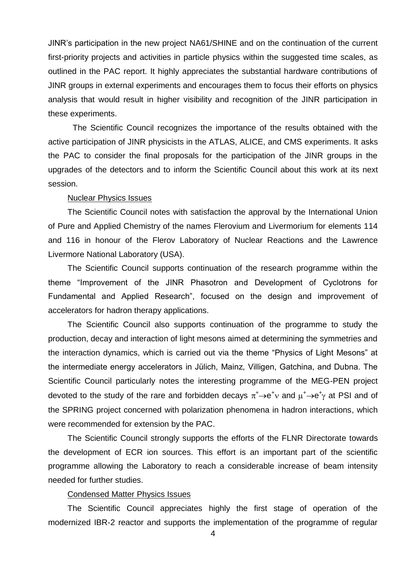JINR's participation in the new project NA61/SHINE and on the continuation of the current first-priority projects and activities in particle physics within the suggested time scales, as outlined in the PAC report. It highly appreciates the substantial hardware contributions of JINR groups in external experiments and encourages them to focus their efforts on physics analysis that would result in higher visibility and recognition of the JINR participation in these experiments.

The Scientific Council recognizes the importance of the results obtained with the active participation of JINR physicists in the ATLAS, ALICE, and CMS experiments. It asks the PAC to consider the final proposals for the participation of the JINR groups in the upgrades of the detectors and to inform the Scientific Council about this work at its next session.

#### Nuclear Physics Issues

The Scientific Council notes with satisfaction the approval by the International Union of Pure and Applied Chemistry of the names Flerovium and Livermorium for elements 114 and 116 in honour of the Flerov Laboratory of Nuclear Reactions and the Lawrence Livermore National Laboratory (USA).

The Scientific Council supports continuation of the research programme within the theme "Improvement of the JINR Phasotron and Development of Cyclotrons for Fundamental and Applied Research", focused on the design and improvement of accelerators for hadron therapy applications.

The Scientific Council also supports continuation of the programme to study the production, decay and interaction of light mesons aimed at determining the symmetries and the interaction dynamics, which is carried out via the theme "Physics of Light Mesons" at the intermediate energy accelerators in Jülich, Mainz, Villigen, Gatchina, and Dubna. The Scientific Council particularly notes the interesting programme of the MEG-PEN project devoted to the study of the rare and forbidden decays  $\pi^+ \rightarrow e^+$  and  $\mu^+ \rightarrow e^+$  at PSI and of the SPRING project concerned with polarization phenomena in hadron interactions, which were recommended for extension by the PAC.

The Scientific Council strongly supports the efforts of the FLNR Directorate towards the development of ECR ion sources. This effort is an important part of the scientific programme allowing the Laboratory to reach a considerable increase of beam intensity needed for further studies.

#### Condensed Matter Physics Issues

The Scientific Council appreciates highly the first stage of operation of the modernized IBR-2 reactor and supports the implementation of the programme of regular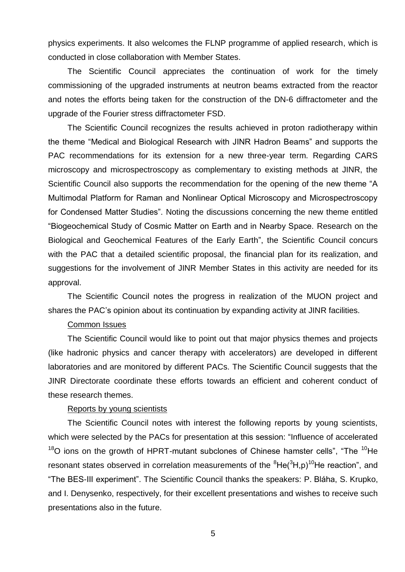physics experiments. It also welcomes the FLNP programme of applied research, which is conducted in close collaboration with Member States.

The Scientific Council appreciates the continuation of work for the timely commissioning of the upgraded instruments at neutron beams extracted from the reactor and notes the efforts being taken for the construction of the DN-6 diffractometer and the upgrade of the Fourier stress diffractometer FSD.

The Scientific Council recognizes the results achieved in proton radiotherapy within the theme "Medical and Biological Research with JINR Hadron Beams" and supports the PAC recommendations for its extension for a new three-year term. Regarding CARS microscopy and microspectroscopy as complementary to existing methods at JINR, the Scientific Council also supports the recommendation for the opening of the new theme "A Мultimodal Platform for Raman and Nonlinear Optical Microscopy and Microspectroscopy for Condensed Matter Studies". Noting the discussions concerning the new theme entitled "Biogeochemical Study of Cosmic Matter on Earth and in Nearby Space. Research on the Biological and Geochemical Features of the Early Earth", the Scientific Council concurs with the PAC that a detailed scientific proposal, the financial plan for its realization, and suggestions for the involvement of JINR Member States in this activity are needed for its approval.

The Scientific Council notes the progress in realization of the MUON project and shares the PAC's opinion about its continuation by expanding activity at JINR facilities.

## Common Issues

The Scientific Council would like to point out that major physics themes and projects (like hadronic physics and cancer therapy with accelerators) are developed in different laboratories and are monitored by different PACs. The Scientific Council suggests that the JINR Directorate coordinate these efforts towards an efficient and coherent conduct of these research themes.

#### Reports by young scientists

The Scientific Council notes with interest the following reports by young scientists, which were selected by the PACs for presentation at this session: "Influence of accelerated  $18$ O ions on the growth of HPRT-mutant subclones of Chinese hamster cells", "The  $10$ He resonant states observed in correlation measurements of the  ${}^{8}$ He( ${}^{3}$ H,p)<sup>10</sup>He reaction", and "The BES-III experiment". The Scientific Council thanks the speakers: P. Bláha, S. Krupko, and I. Denysenko, respectively, for their excellent presentations and wishes to receive such presentations also in the future.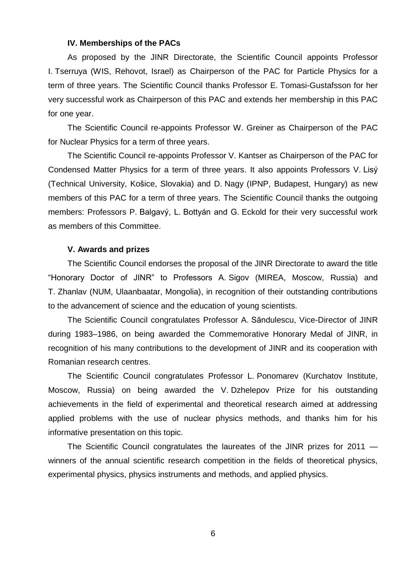#### **IV. Memberships of the PACs**

As proposed by the JINR Directorate, the Scientific Council appoints Professor I. Tserruya (WIS, Rehovot, Israel) as Chairperson of the PAC for Particle Physics for a term of three years. The Scientific Council thanks Professor E. Tomasi-Gustafsson for her very successful work as Chairperson of this PAC and extends her membership in this PAC for one year.

The Scientific Council re-appoints Professor W. Greiner as Chairperson of the PAC for Nuclear Physics for a term of three years.

The Scientific Council re-appoints Professor V. Kantser as Chairperson of the PAC for Condensed Matter Physics for a term of three years. It also appoints Professors V. Lisý (Technical University, Košice, Slovakia) and D. Nagy (IPNP, Budapest, Hungary) as new members of this PAC for a term of three years. The Scientific Council thanks the outgoing members: Professors P. Balgavý, L. Bottyán and G. Eckold for their very successful work as members of this Committee.

#### **V. Awards and prizes**

The Scientific Council endorses the proposal of the JINR Directorate to award the title "Honorary Doctor of JINR" to Professors A. Sigov (MIREA, Moscow, Russia) and T. Zhanlav (NUM, Ulaanbaatar, Mongolia), in recognition of their outstanding contributions to the advancement of science and the education of young scientists.

The Scientific Council congratulates Professor A. Săndulescu, Vice-Director of JINR during 1983–1986, on being awarded the Commemorative Honorary Medal of JINR, in recognition of his many contributions to the development of JINR and its cooperation with Romanian research centres.

The Scientific Council congratulates Professor L. Ponomarev (Kurchatov Institute, Moscow, Russia) on being awarded the V. Dzhelepov Prize for his outstanding achievements in the field of experimental and theoretical research aimed at addressing applied problems with the use of nuclear physics methods, and thanks him for his informative presentation on this topic.

The Scientific Council congratulates the laureates of the JINR prizes for 2011 winners of the annual scientific research competition in the fields of theoretical physics, experimental physics, physics instruments and methods, and applied physics.

6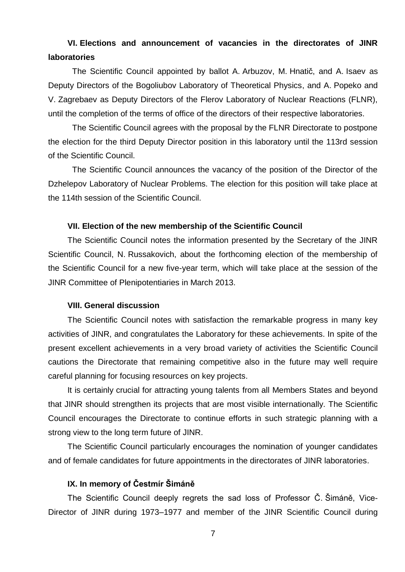# **VI. Elections and announcement of vacancies in the directorates of JINR laboratories**

The Scientific Council appointed by ballot A. Arbuzov, M. Hnatič, and A. Isaev as Deputy Directors of the Bogoliubov Laboratory of Theoretical Physics, and A. Popeko and V. Zagrebaev as Deputy Directors of the Flerov Laboratory of Nuclear Reactions (FLNR), until the completion of the terms of office of the directors of their respective laboratories.

The Scientific Council agrees with the proposal by the FLNR Directorate to postpone the election for the third Deputy Director position in this laboratory until the 113rd session of the Scientific Council.

The Scientific Council announces the vacancy of the position of the Director of the Dzhelepov Laboratory of Nuclear Problems. The election for this position will take place at the 114th session of the Scientific Council.

#### **VII. Election of the new membership of the Scientific Council**

The Scientific Council notes the information presented by the Secretary of the JINR Scientific Council, N. Russakovich, about the forthcoming election of the membership of the Scientific Council for a new five-year term, which will take place at the session of the JINR Committee of Plenipotentiaries in March 2013.

#### **VIII. General discussion**

The Scientific Council notes with satisfaction the remarkable progress in many key activities of JINR, and congratulates the Laboratory for these achievements. In spite of the present excellent achievements in a very broad variety of activities the Scientific Council cautions the Directorate that remaining competitive also in the future may well require careful planning for focusing resources on key projects.

It is certainly crucial for attracting young talents from all Members States and beyond that JINR should strengthen its projects that are most visible internationally. The Scientific Council encourages the Directorate to continue efforts in such strategic planning with a strong view to the long term future of JINR.

The Scientific Council particularly encourages the nomination of younger candidates and of female candidates for future appointments in the directorates of JINR laboratories.

### **IX. In memory of Čestmír Šimáně**

The Scientific Council deeply regrets the sad loss of Professor Č. Šimáně, Vice-Director of JINR during 1973–1977 and member of the JINR Scientific Council during